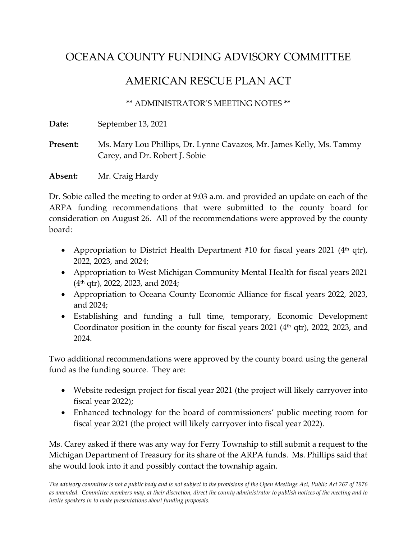## OCEANA COUNTY FUNDING ADVISORY COMMITTEE

## AMERICAN RESCUE PLAN ACT

\*\* ADMINISTRATOR'S MEETING NOTES \*\*

**Date:** September 13, 2021

**Present:** Ms. Mary Lou Phillips, Dr. Lynne Cavazos, Mr. James Kelly, Ms. Tammy Carey, and Dr. Robert J. Sobie

**Absent:** Mr. Craig Hardy

Dr. Sobie called the meeting to order at 9:03 a.m. and provided an update on each of the ARPA funding recommendations that were submitted to the county board for consideration on August 26. All of the recommendations were approved by the county board:

- Appropriation to District Health Department #10 for fiscal years 2021 ( $4<sup>th</sup>$  qtr), 2022, 2023, and 2024;
- Appropriation to West Michigan Community Mental Health for fiscal years 2021  $(4<sup>th</sup>$  qtr), 2022, 2023, and 2024;
- Appropriation to Oceana County Economic Alliance for fiscal years 2022, 2023, and 2024;
- Establishing and funding a full time, temporary, Economic Development Coordinator position in the county for fiscal years  $2021$  ( $4<sup>th</sup>$  qtr),  $2022$ ,  $2023$ , and 2024.

Two additional recommendations were approved by the county board using the general fund as the funding source. They are:

- Website redesign project for fiscal year 2021 (the project will likely carryover into fiscal year 2022);
- Enhanced technology for the board of commissioners' public meeting room for fiscal year 2021 (the project will likely carryover into fiscal year 2022).

Ms. Carey asked if there was any way for Ferry Township to still submit a request to the Michigan Department of Treasury for its share of the ARPA funds. Ms. Phillips said that she would look into it and possibly contact the township again.